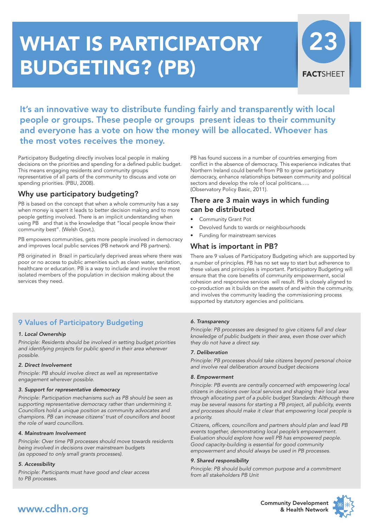# **WHAT IS PARTICIPATORY BUDGETING? (PB)**



**It's an innovative way to distribute funding fairly and transparently with local people or groups. These people or groups present ideas to their community and everyone has a vote on how the money will be allocated. Whoever has the most votes receives the money.**

Participatory Budgeting directly involves local people in making decisions on the priorities and spending for a defined public budget. This means engaging residents and community groups representative of all parts of the community to discuss and vote on spending priorities. (PBU, 2008).

## **Why use participatory budgeting?**

PB is based on the concept that when a whole community has a say when money is spent it leads to better decision making and to more people getting involved. There is an implicit understanding when using PB and that is the knowledge that "local people know their community best". (Welsh Govt.).

PB empowers communities, gets more people involved in democracy and improves local public services (PB network and PB partners).

PB originated in Brazil in particularly deprived areas where there was poor or no access to public amenities such as clean water, sanitation, healthcare or education. PB is a way to include and involve the most isolated members of the population in decision making about the services they need.

## **9 Values of Participatory Budgeting**

#### *1. Local Ownership*

*Principle: Residents should be involved in setting budget priorities and identifying projects for public spend in their area wherever possible.*

#### *2. Direct Involvement*

*Principle: PB should involve direct as well as representative engagement wherever possible.*

#### *3. Support for representative democracy*

*Principle: Participation mechanisms such as PB should be seen as supporting representative democracy rather than undermining it. Councillors hold a unique position as community advocates and champions. PB can increase citizens' trust of councillors and boost the role of ward councillors.*

#### *4. Mainstream Involvement*

*Principle: Over time PB processes should move towards residents being involved in decisions over mainstream budgets (as opposed to only small grants processes).*

#### *5. Accessibility*

*Principle: Participants must have good and clear access to PB processes.*

PB has found success in a number of countries emerging from conflict in the absence of democracy. This experience indicates that Northern Ireland could benefit from PB to grow participatory democracy, enhance relationships between community and political sectors and develop the role of local politicans….. (Observatory Policy Basic, 2011).

### **There are 3 main ways in which funding can be distributed**

- Community Grant Pot
- Devolved funds to wards or neighbourhoods
- Funding for mainstream services

## **What is important in PB?**

There are 9 values of Participatory Budgeting which are supported by a number of principles. PB has no set way to start but adherence to these values and principles is important. Participatory Budgeting will ensure that the core benefits of community empowerment, social cohesion and responsive services will result. PB is closely aligned to co-production as it builds on the assets of and within the community, and involves the community leading the commissioning process supported by statutory agencies and politicians.

#### *6. Transparency*

*Principle: PB processes are designed to give citizens full and clear knowledge of public budgets in their area, even those over which they do not have a direct say.*

#### *7. Deliberation*

*Principle: PB processes should take citizens beyond personal choice and involve real deliberation around budget decisions*

#### *8. Empowerment*

*Principle: PB events are centrally concerned with empowering local citizens in decisions over local services and shaping their local area through allocating part of a public budget Standards: Although there may be several reasons for starting a PB project, all publicity, events and processes should make it clear that empowering local people is a priority.*

*Citizens, officers, councillors and partners should plan and lead PB events together, demonstrating local people's empowerment. Evaluation should explore how well PB has empowered people. Good capacity-building is essential for good community empowerment and should always be used in PB processes.*

#### *9. Shared responsibility*

*Principle: PB should build common purpose and a commitment from all stakeholders PB Unit*



**Community Development & Health Network**